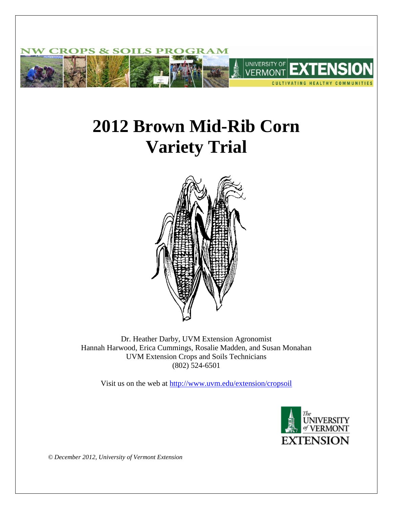

# **2012 Brown Mid-Rib Corn Variety Trial**



Dr. Heather Darby, UVM Extension Agronomist Hannah Harwood, Erica Cummings, Rosalie Madden, and Susan Monahan UVM Extension Crops and Soils Technicians (802) 524-6501

Visit us on the web at<http://www.uvm.edu/extension/cropsoil>



*© December 2012, University of Vermont Extension*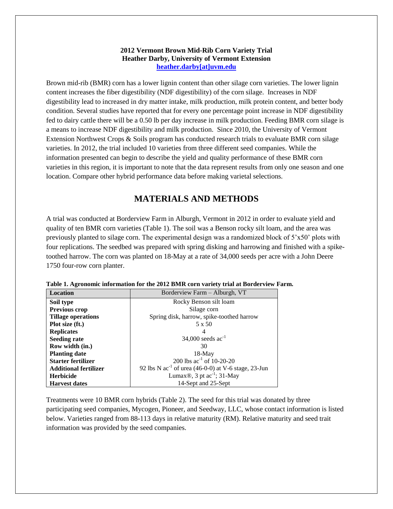#### **2012 Vermont Brown Mid-Rib Corn Variety Trial Heather Darby, University of Vermont Extension [heather.darby\[at\]uvm.edu](mailto:heather.darby@uvm.edu?subject=2012%20BMR%20Corn%20Variety%20Trial)**

Brown mid-rib (BMR) corn has a lower lignin content than other silage corn varieties. The lower lignin content increases the fiber digestibility (NDF digestibility) of the corn silage. Increases in NDF digestibility lead to increased in dry matter intake, milk production, milk protein content, and better body condition. Several studies have reported that for every one percentage point increase in NDF digestibility fed to dairy cattle there will be a 0.50 lb per day increase in milk production. Feeding BMR corn silage is a means to increase NDF digestibility and milk production. Since 2010, the University of Vermont Extension Northwest Crops & Soils program has conducted research trials to evaluate BMR corn silage varieties. In 2012, the trial included 10 varieties from three different seed companies. While the information presented can begin to describe the yield and quality performance of these BMR corn varieties in this region, it is important to note that the data represent results from only one season and one location. Compare other hybrid performance data before making varietal selections.

## **MATERIALS AND METHODS**

A trial was conducted at Borderview Farm in Alburgh, Vermont in 2012 in order to evaluate yield and quality of ten BMR corn varieties (Table 1). The soil was a Benson rocky silt loam, and the area was previously planted to silage corn. The experimental design was a randomized block of 5'x50' plots with four replications. The seedbed was prepared with spring disking and harrowing and finished with a spiketoothed harrow. The corn was planted on 18-May at a rate of 34,000 seeds per acre with a John Deere 1750 four-row corn planter.

| <b>Location</b>              | Borderview Farm – Alburgh, VT                            |
|------------------------------|----------------------------------------------------------|
| Soil type                    | Rocky Benson silt loam                                   |
| <b>Previous crop</b>         | Silage corn                                              |
| <b>Tillage operations</b>    | Spring disk, harrow, spike-toothed harrow                |
| Plot size (ft.)              | 5 x 50                                                   |
| <b>Replicates</b>            | 4                                                        |
| <b>Seeding rate</b>          | 34,000 seeds $ac^{-1}$                                   |
| Row width (in.)              | 30                                                       |
| <b>Planting date</b>         | $18-May$                                                 |
| <b>Starter fertilizer</b>    | 200 lbs $ac^{-1}$ of 10-20-20                            |
| <b>Additional fertilizer</b> | 92 lbs N $ac^{-1}$ of urea (46-0-0) at V-6 stage, 23-Jun |
| <b>Herbicide</b>             | Lumax <sup>®</sup> , 3 pt $ac^{-1}$ ; 31-May             |
| <b>Harvest dates</b>         | 14-Sept and 25-Sept                                      |

|  | Table 1. Agronomic information for the 2012 BMR corn variety trial at Borderview Farm. |  |  |  |  |  |
|--|----------------------------------------------------------------------------------------|--|--|--|--|--|
|  |                                                                                        |  |  |  |  |  |
|  |                                                                                        |  |  |  |  |  |
|  |                                                                                        |  |  |  |  |  |

Treatments were 10 BMR corn hybrids (Table 2). The seed for this trial was donated by three participating seed companies, Mycogen, Pioneer, and Seedway, LLC, whose contact information is listed below. Varieties ranged from 88-113 days in relative maturity (RM). Relative maturity and seed trait information was provided by the seed companies.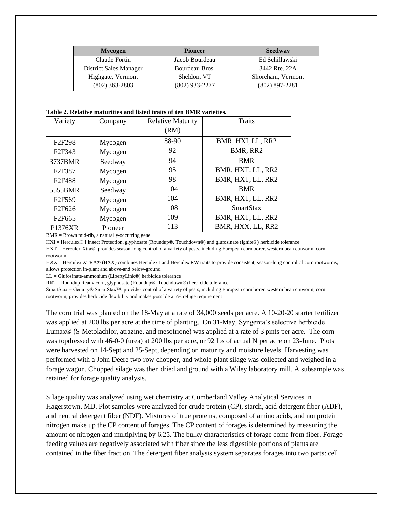| <b>Mycogen</b>         | <b>Pioneer</b>   | <b>Seedway</b>    |
|------------------------|------------------|-------------------|
| Claude Fortin          | Jacob Bourdeau   | Ed Schillawski    |
| District Sales Manager | Bourdeau Bros.   | 3442 Rte. 22A     |
| Highgate, Vermont      | Sheldon, VT      | Shoreham, Vermont |
| $(802)$ 363-2803       | $(802)$ 933-2277 | $(802)$ 897-2281  |

| Table 2. Relative maturities and listed traits of ten BMR varieties. |  |  |
|----------------------------------------------------------------------|--|--|
|----------------------------------------------------------------------|--|--|

| Variety                         | Company | <b>Relative Maturity</b> | <b>Traits</b>     |
|---------------------------------|---------|--------------------------|-------------------|
|                                 |         | (RM)                     |                   |
| F <sub>2</sub> F <sub>298</sub> | Mycogen | 88-90                    | BMR, HXI, LL, RR2 |
| F <sub>2</sub> F <sub>343</sub> | Mycogen | 92                       | BMR, RR2          |
| 3737BMR                         | Seedway | 94                       | <b>BMR</b>        |
| F <sub>2</sub> F <sub>387</sub> | Mycogen | 95                       | BMR, HXT, LL, RR2 |
| F <sub>2F488</sub>              | Mycogen | 98                       | BMR, HXT, LL, RR2 |
| 5555BMR                         | Seedway | 104                      | <b>BMR</b>        |
| F2F569                          | Mycogen | 104                      | BMR, HXT, LL, RR2 |
| F <sub>2F626</sub>              | Mycogen | 108                      | <b>SmartStax</b>  |
| F <sub>2F665</sub>              | Mycogen | 109                      | BMR, HXT, LL, RR2 |
| P1376XR                         | Pioneer | 113                      | BMR, HXX, LL, RR2 |

BMR = Brown mid-rib, a naturally-occurring gene

HXI = Herculex® I Insect Protection, glyphosate (Roundup®, Touchdown®) and glufosinate (Ignite®) herbicide tolerance

HXT = Herculex Xtra®, provides season-long control of a variety of pests, including European corn borer, western bean cutworm, corn rootworm

HXX = Herculex XTRA® (HXX) combines Herculex I and Herculex RW traits to provide consistent, season-long control of corn rootworms, allows protection in-plant and above-and below-ground

LL = Glufosinate-ammonium (LibertyLink®) herbicide tolerance

RR2 = Roundup Ready corn, glyphosate (Roundup®, Touchdown®) herbicide tolerance

SmartStax = Genuity® SmartStax™, provides control of a variety of pests, including European corn borer, western bean cutworm, corn rootworm, provides herbicide flexibility and makes possible a 5% refuge requirement

The corn trial was planted on the 18-May at a rate of 34,000 seeds per acre. A 10-20-20 starter fertilizer was applied at 200 lbs per acre at the time of planting. On 31-May, Syngenta's selective herbicide Lumax® (S-Metolachlor, atrazine, and mesotrione) was applied at a rate of 3 pints per acre. The corn was topdressed with 46-0-0 (urea) at 200 lbs per acre, or 92 lbs of actual N per acre on 23-June. Plots were harvested on 14-Sept and 25-Sept, depending on maturity and moisture levels. Harvesting was performed with a John Deere two-row chopper, and whole-plant silage was collected and weighed in a forage wagon. Chopped silage was then dried and ground with a Wiley laboratory mill. A subsample was retained for forage quality analysis.

Silage quality was analyzed using wet chemistry at Cumberland Valley Analytical Services in Hagerstown, MD. Plot samples were analyzed for crude protein (CP), starch, acid detergent fiber (ADF), and neutral detergent fiber (NDF). Mixtures of true proteins, composed of amino acids, and nonprotein nitrogen make up the CP content of forages. The CP content of forages is determined by measuring the amount of nitrogen and multiplying by 6.25. The bulky characteristics of forage come from fiber. Forage feeding values are negatively associated with fiber since the less digestible portions of plants are contained in the fiber fraction. The detergent fiber analysis system separates forages into two parts: cell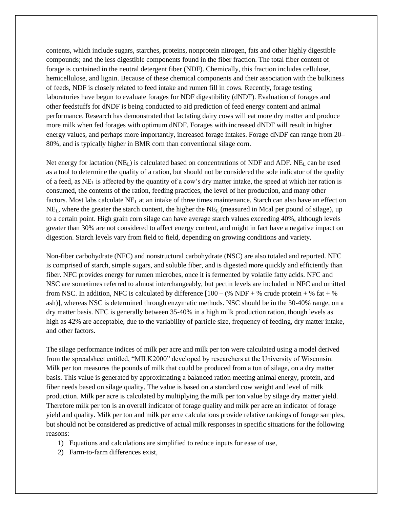contents, which include sugars, starches, proteins, nonprotein nitrogen, fats and other highly digestible compounds; and the less digestible components found in the fiber fraction. The total fiber content of forage is contained in the neutral detergent fiber (NDF). Chemically, this fraction includes cellulose, hemicellulose, and lignin. Because of these chemical components and their association with the bulkiness of feeds, NDF is closely related to feed intake and rumen fill in cows. Recently, forage testing laboratories have begun to evaluate forages for NDF digestibility (dNDF). Evaluation of forages and other feedstuffs for dNDF is being conducted to aid prediction of feed energy content and animal performance. Research has demonstrated that lactating dairy cows will eat more dry matter and produce more milk when fed forages with optimum dNDF. Forages with increased dNDF will result in higher energy values, and perhaps more importantly, increased forage intakes. Forage dNDF can range from 20– 80%, and is typically higher in BMR corn than conventional silage corn.

Net energy for lactation  $(NE_L)$  is calculated based on concentrations of NDF and ADF.  $NE_L$  can be used as a tool to determine the quality of a ration, but should not be considered the sole indicator of the quality of a feed, as NE<sup>L</sup> is affected by the quantity of a cow's dry matter intake, the speed at which her ration is consumed, the contents of the ration, feeding practices, the level of her production, and many other factors. Most labs calculate  $NE<sub>L</sub>$  at an intake of three times maintenance. Starch can also have an effect on  $NE<sub>L</sub>$ , where the greater the starch content, the higher the  $NE<sub>L</sub>$  (measured in Mcal per pound of silage), up to a certain point. High grain corn silage can have average starch values exceeding 40%, although levels greater than 30% are not considered to affect energy content, and might in fact have a negative impact on digestion. Starch levels vary from field to field, depending on growing conditions and variety.

Non-fiber carbohydrate (NFC) and nonstructural carbohydrate (NSC) are also totaled and reported. NFC is comprised of starch, simple sugars, and soluble fiber, and is digested more quickly and efficiently than fiber. NFC provides energy for rumen microbes, once it is fermented by volatile fatty acids. NFC and NSC are sometimes referred to almost interchangeably, but pectin levels are included in NFC and omitted from NSC. In addition, NFC is calculated by difference  $[100 - (\% \text{ NDF} + \% \text{ crude protein} + \% \text{ fat} + \% \text{ m})]$ ash)], whereas NSC is determined through enzymatic methods. NSC should be in the 30-40% range, on a dry matter basis. NFC is generally between 35-40% in a high milk production ration, though levels as high as 42% are acceptable, due to the variability of particle size, frequency of feeding, dry matter intake, and other factors.

The silage performance indices of milk per acre and milk per ton were calculated using a model derived from the spreadsheet entitled, "MILK2000" developed by researchers at the University of Wisconsin. Milk per ton measures the pounds of milk that could be produced from a ton of silage, on a dry matter basis. This value is generated by approximating a balanced ration meeting animal energy, protein, and fiber needs based on silage quality. The value is based on a standard cow weight and level of milk production. Milk per acre is calculated by multiplying the milk per ton value by silage dry matter yield. Therefore milk per ton is an overall indicator of forage quality and milk per acre an indicator of forage yield and quality. Milk per ton and milk per acre calculations provide relative rankings of forage samples, but should not be considered as predictive of actual milk responses in specific situations for the following reasons:

- 1) Equations and calculations are simplified to reduce inputs for ease of use,
- 2) Farm-to-farm differences exist,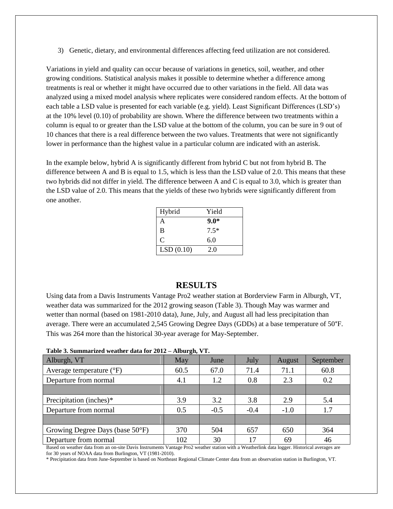3) Genetic, dietary, and environmental differences affecting feed utilization are not considered.

Variations in yield and quality can occur because of variations in genetics, soil, weather, and other growing conditions. Statistical analysis makes it possible to determine whether a difference among treatments is real or whether it might have occurred due to other variations in the field. All data was analyzed using a mixed model analysis where replicates were considered random effects. At the bottom of each table a LSD value is presented for each variable (e.g. yield). Least Significant Differences (LSD's) at the 10% level (0.10) of probability are shown. Where the difference between two treatments within a column is equal to or greater than the LSD value at the bottom of the column, you can be sure in 9 out of 10 chances that there is a real difference between the two values. Treatments that were not significantly lower in performance than the highest value in a particular column are indicated with an asterisk.

In the example below, hybrid A is significantly different from hybrid C but not from hybrid B. The difference between A and B is equal to 1.5, which is less than the LSD value of 2.0. This means that these two hybrids did not differ in yield. The difference between A and C is equal to 3.0, which is greater than the LSD value of 2.0. This means that the yields of these two hybrids were significantly different from one another.

| Hybrid    | Yield  |
|-----------|--------|
| A         | $9.0*$ |
| B         | $7.5*$ |
| C         | 6.0    |
| LSD(0.10) | 2.0    |

#### **RESULTS**

Using data from a Davis Instruments Vantage Pro2 weather station at Borderview Farm in Alburgh, VT, weather data was summarized for the 2012 growing season (Table 3). Though May was warmer and wetter than normal (based on 1981-2010 data), June, July, and August all had less precipitation than average. There were an accumulated 2,545 Growing Degree Days (GDDs) at a base temperature of 50°F. This was 264 more than the historical 30-year average for May-September.

| Table 5. Summarized weather data for $2012 -$ About 2n, y T. |      |        |            |        |           |
|--------------------------------------------------------------|------|--------|------------|--------|-----------|
| Alburgh, VT                                                  | May  | June   | July       | August | September |
| Average temperature $({}^{\circ}F)$                          | 60.5 | 67.0   | 71.4       | 71.1   | 60.8      |
| Departure from normal                                        | 4.1  | 1.2    | 0.8        | 2.3    | 0.2       |
|                                                              |      |        |            |        |           |
| Precipitation (inches)*                                      | 3.9  | 3.2    | 3.8        | 2.9    | 5.4       |
| Departure from normal                                        | 0.5  | $-0.5$ | $-0.4$     | $-1.0$ | 1.7       |
|                                                              |      |        |            |        |           |
| Growing Degree Days (base 50°F)                              | 370  | 504    | 657        | 650    | 364       |
| Departure from normal                                        | 102  | 30     | $\sqrt{7}$ | 69     | 46        |

**Table 3. Summarized weather data for 2012 – Alburgh, VT.**

Based on weather data from an on-site Davis Instruments Vantage Pro2 weather station with a Weatherlink data logger. Historical averages are for 30 years of NOAA data from Burlington, VT (1981-2010).

\* Precipitation data from June-September is based on Northeast Regional Climate Center data from an observation station in Burlington, VT.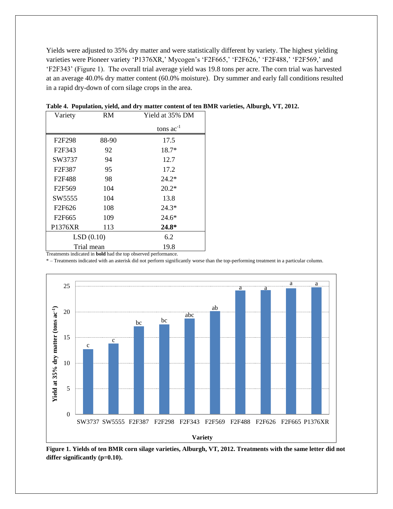Yields were adjusted to 35% dry matter and were statistically different by variety. The highest yielding varieties were Pioneer variety 'P1376XR,' Mycogen's 'F2F665,' 'F2F626,' 'F2F488,' 'F2F569,' and 'F2F343' (Figure 1). The overall trial average yield was 19.8 tons per acre. The corn trial was harvested at an average 40.0% dry matter content (60.0% moisture). Dry summer and early fall conditions resulted in a rapid dry-down of corn silage crops in the area.

| Variety                                                    | <b>RM</b>  | Yield at 35% DM |
|------------------------------------------------------------|------------|-----------------|
|                                                            |            | tons $ac^{-1}$  |
| F <sub>2</sub> F <sub>298</sub>                            | 88-90      | 17.5            |
| F <sub>2F</sub> 343                                        | 92         | $18.7*$         |
| SW3737                                                     | 94         | 12.7            |
| F2F387                                                     | 95         | 17.2            |
| F2F488                                                     | 98         | $24.2*$         |
| F <sub>2F569</sub>                                         | 104        | $20.2*$         |
| SW5555                                                     | 104        | 13.8            |
| F <sub>2F626</sub>                                         | 108        | 24.3*           |
| F <sub>2F665</sub>                                         | 109        | $24.6*$         |
| P1376XR                                                    | 113        | 24.8*           |
|                                                            | LSD(0.10)  | 6.2             |
| Tuestments indicated in hold had the top chaemed newfource | Trial mean | 19.8            |

| Table 4. Population, yield, and dry matter content of ten BMR varieties, Alburgh, VT, 2012. |  |  |  |  |  |
|---------------------------------------------------------------------------------------------|--|--|--|--|--|
|                                                                                             |  |  |  |  |  |
|                                                                                             |  |  |  |  |  |
|                                                                                             |  |  |  |  |  |

Treatments indicated in **bold** had the top observed performance.

\* – Treatments indicated with an asterisk did not perform significantly worse than the top-performing treatment in a particular column.



**Figure 1. Yields of ten BMR corn silage varieties, Alburgh, VT, 2012. Treatments with the same letter did not differ significantly (p=0.10).**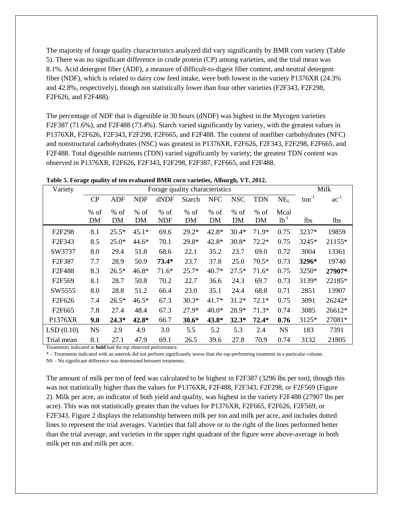The majority of forage quality characteristics analyzed did vary significantly by BMR corn variety (Table 5). There was no significant difference in crude protein (CP) among varieties, and the trial mean was 8.1%. Acid detergent fiber (ADF), a measure of difficult-to-digest fiber content, and neutral detergent fiber (NDF), which is related to dairy cow feed intake, were both lowest in the variety P1376XR (24.3% and 42.8%, respectively), though not statistically lower than four other varieties (F2F343, F2F298, F2F626, and F2F488).

The percentage of NDF that is digestible in 30 hours (dNDF) was highest in the Mycogen varieties F2F387 (71.6%), and F2F488 (73.4%). Starch varied significantly by variety, with the greatest values in P1376XR, F2F626, F2F343, F2F298, F2F665, and F2F488. The content of nonfiber carbohydrates (NFC) and nonstructural carbohydrates (NSC) was greatest in P1376XR, F2F626, F2F343, F2F298, F2F665, and F2F488. Total digestible nutrients (TDN) varied significantly by variety; the greatest TDN content was observed in P1376XR, F2F626, F2F343, F2F298, F2F387, F2F665, and F2F488.

|  |  | Table 5. Forage quality of ten evaluated BMR corn varieties, Alburgh, VT, 2012. |  |  |  |
|--|--|---------------------------------------------------------------------------------|--|--|--|
|  |  |                                                                                 |  |  |  |

| Variety                         | Forage quality characteristics |              |              |                      |               |              |              |              |                   | Milk              |           |
|---------------------------------|--------------------------------|--------------|--------------|----------------------|---------------|--------------|--------------|--------------|-------------------|-------------------|-----------|
|                                 | CP                             | <b>ADF</b>   | <b>NDF</b>   | dNDF                 | <b>Starch</b> | <b>NFC</b>   | <b>NSC</b>   | <b>TDN</b>   | NE <sub>L</sub>   | $\text{ton}^{-1}$ | $ac^{-1}$ |
|                                 | $%$ of<br>DM                   | $%$ of<br>DM | $%$ of<br>DM | $%$ of<br><b>NDF</b> | $%$ of<br>DM  | $%$ of<br>DM | $%$ of<br>DM | $%$ of<br>DM | Mcal<br>$1b^{-1}$ | <b>lbs</b>        | lbs       |
| F2F298                          | 8.1                            | $25.5*$      | $45.1*$      | 69.6                 | $29.2*$       | 42.8*        | $30.4*$      | 71.9*        | 0.75              | 3237*             | 19859     |
| F <sub>2F</sub> 343             | 8.5                            | $25.0*$      | $44.6*$      | 70.1                 | 29.8*         | 42.8*        | $30.8*$      | $72.2*$      | 0.75              | 3245*             | 21155*    |
| SW3737                          | 8.0                            | 29.4         | 51.8         | 68.6                 | 22.1          | 35.2         | 23.7         | 69.0         | 0.72              | 3004              | 13361     |
| F <sub>2</sub> F <sub>387</sub> | 7.7                            | 28.9         | 50.9         | $73.4*$              | 23.7          | 37.8         | 25.0         | $70.5*$      | 0.73              | 3296*             | 19740     |
| F2F488                          | 8.3                            | $26.5*$      | $46.8*$      | $71.6*$              | $25.7*$       | $40.7*$      | $27.5*$      | $71.6*$      | 0.75              | 3250*             | 27907*    |
| F2F569                          | 8.1                            | 28.7         | 50.8         | 70.2                 | 22.7          | 36.6         | 24.3         | 69.7         | 0.73              | 3139*             | 22185*    |
| SW5555                          | 8.0                            | 28.8         | 51.2         | 66.4                 | 23.0          | 35.1         | 24.4         | 68.8         | 0.71              | 2851              | 13907     |
| F <sub>2F626</sub>              | 7.4                            | $26.5*$      | $46.5*$      | 67.3                 | $30.3*$       | $41.7*$      | $31.2*$      | $72.1*$      | 0.75              | 3091              | 26242*    |
| F <sub>2F665</sub>              | 7.8                            | 27.4         | 48.4         | 67.3                 | $27.9*$       | $40.0*$      | 28.9*        | $71.3*$      | 0.74              | 3085              | 26612*    |
| P1376XR                         | 9.0                            | $24.3*$      | 42.8*        | 66.7                 | $30.6*$       | 43.8*        | $32.3*$      | $72.4*$      | 0.76              | $3125*$           | 27081*    |
| LSD(0.10)                       | <b>NS</b>                      | 2.9          | 4.9          | 3.0                  | 5.5           | 5.2          | 5.3          | 2.4          | <b>NS</b>         | 183               | 7391      |
| Trial mean                      | 8.1                            | 27.1         | 47.9         | 69.1                 | 26.5          | 39.6         | 27.8         | 70.9         | 0.74              | 3132              | 21805     |

Treatments indicated in **bold** had the top observed performance.

\* – Treatments indicated with an asterisk did not perform significantly worse than the top-performing treatment in a particular column.

NS – No significant difference was determined between treatments.

The amount of milk per ton of feed was calculated to be highest in F2F387 (3296 lbs per ton), though this was not statistically higher than the values for P1376XR, F2F488, F2F343, F2F298, or F2F569 (Figure 2). Milk per acre, an indicator of both yield and quality, was highest in the variety F2F488 (27907 lbs per acre). This was not statistically greater than the values for P1376XR, F2F665, F2F626, F2F569, or F2F343. Figure 2 displays the relationship between milk per ton and milk per acre, and includes dotted lines to represent the trial averages. Varieties that fall above or to the right of the lines performed better than the trial average, and varieties in the upper right quadrant of the figure were above-average in both milk per ton and milk per acre.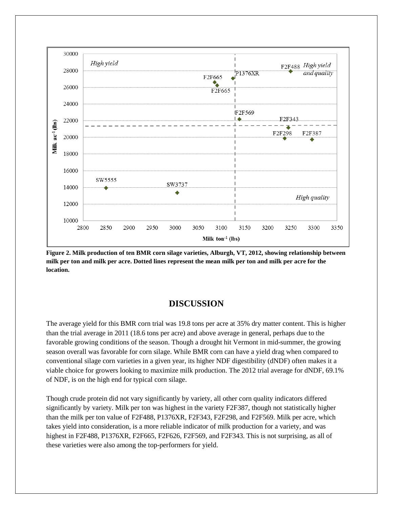

**Figure 2. Milk production of ten BMR corn silage varieties, Alburgh, VT, 2012, showing relationship between milk per ton and milk per acre. Dotted lines represent the mean milk per ton and milk per acre for the location.**

#### **DISCUSSION**

The average yield for this BMR corn trial was 19.8 tons per acre at 35% dry matter content. This is higher than the trial average in 2011 (18.6 tons per acre) and above average in general, perhaps due to the favorable growing conditions of the season. Though a drought hit Vermont in mid-summer, the growing season overall was favorable for corn silage. While BMR corn can have a yield drag when compared to conventional silage corn varieties in a given year, its higher NDF digestibility (dNDF) often makes it a viable choice for growers looking to maximize milk production. The 2012 trial average for dNDF, 69.1% of NDF, is on the high end for typical corn silage.

Though crude protein did not vary significantly by variety, all other corn quality indicators differed significantly by variety. Milk per ton was highest in the variety F2F387, though not statistically higher than the milk per ton value of F2F488, P1376XR, F2F343, F2F298, and F2F569. Milk per acre, which takes yield into consideration, is a more reliable indicator of milk production for a variety, and was highest in F2F488, P1376XR, F2F665, F2F626, F2F569, and F2F343. This is not surprising, as all of these varieties were also among the top-performers for yield.